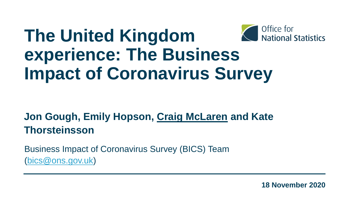#### Office for **The United Kingdom**  National Statistics **experience: The Business Impact of Coronavirus Survey**

#### **Jon Gough, Emily Hopson, Craig McLaren and Kate Thorsteinsson**

Business Impact of Coronavirus Survey (BICS) Team ([bics@ons.gov.uk](about:blank))

**18 November 2020**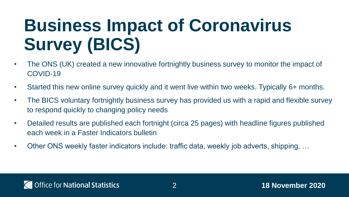# **Business Impact of Coronavirus Survey (BICS)**

- The ONS (UK) created a new innovative fortnightly business survey to monitor the impact of COVID-19
- Started this new online survey quickly and it went live within two weeks. Typically 6+ months.
- The BICS voluntary fortnightly business survey has provided us with a rapid and flexible survey to respond quickly to changing policy needs
- Detailed results are published each fortnight (circa 25 pages) with headline figures published each week in a Faster Indicators bulletin
- Other ONS weekly faster indicators include: traffic data, weekly job adverts, shipping, …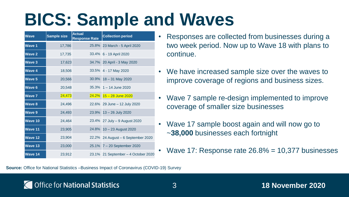### **BICS: Sample and Waves**

| <b>Wave</b>    | <b>Sample size</b> | <b>Actual</b><br><b>Response Rate</b> | <b>Collection period</b>            |
|----------------|--------------------|---------------------------------------|-------------------------------------|
| <b>Wave 1</b>  | 17,786             |                                       | 25.8% 23 March - 5 April 2020       |
| <b>Wave 2</b>  | 17,735             |                                       | 33.4% 6 - 19 April 2020             |
| <b>Wave 3</b>  | 17,623             |                                       | 34.7% 20 April - 3 May 2020         |
| <b>Wave 4</b>  | 18,506             |                                       | 33.5% 4 - 17 May 2020               |
| <b>Wave 5</b>  | 20,566             |                                       | 30.9% 18 - 31 May 2020              |
| <b>Wave 6</b>  | 20,548             |                                       | 35.3% 1 - 14 June 2020              |
| <b>Wave 7</b>  | 24,473             |                                       | $24.2\%$ 15 - 28 June 2020          |
| <b>Wave 8</b>  | 24,496             |                                       | 22.6% 29 June - 12 July 2020        |
| <b>Wave 9</b>  | 24,493             |                                       | 23.9% 13 - 26 July 2020             |
| Wave 10        | 24,464             |                                       | 23.4% 27 July - 9 August 2020       |
| Wave 11        | 23,905             |                                       | 24.8% 10 - 23 August 2020           |
| <b>Wave 12</b> | 23,904             |                                       | 22.2% 24 August - 6 September 2020  |
| <b>Wave 13</b> | 23,000             |                                       | 25.1% 7 - 20 September 2020         |
| Wave 14        | 23,912             |                                       | 23.1% 21 September - 4 October 2020 |

- Responses are collected from businesses during a two week period. Now up to Wave 18 with plans to continue.
- We have increased sample size over the waves to improve coverage of regions and business sizes.
- Wave 7 sample re-design implemented to improve coverage of smaller size businesses
- Wave 17 sample boost again and will now go to ~**38,000** businesses each fortnight
- Wave 17: Response rate  $26.8\% = 10,377$  businesses

**Source:** Office for National Statistics –Business Impact of Coronavirus (COVID-19) Survey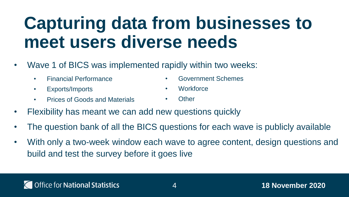### **Capturing data from businesses to meet users diverse needs**

- Wave 1 of BICS was implemented rapidly within two weeks:
	- Financial Performance
	- Exports/Imports
	- Prices of Goods and Materials
- Government Schemes
- Workforce
- Other
- Flexibility has meant we can add new questions quickly
- The question bank of all the BICS questions for each wave is publicly available
- With only a two-week window each wave to agree content, design questions and build and test the survey before it goes live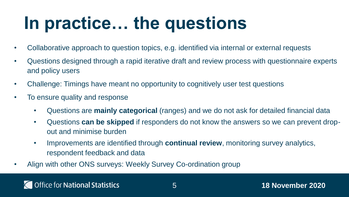### **In practice… the questions**

- Collaborative approach to question topics, e.g. identified via internal or external requests
- Questions designed through a rapid iterative draft and review process with questionnaire experts and policy users
- Challenge: Timings have meant no opportunity to cognitively user test questions
- To ensure quality and response
	- Questions are **mainly categorical** (ranges) and we do not ask for detailed financial data
	- Questions **can be skipped** if responders do not know the answers so we can prevent dropout and minimise burden
	- Improvements are identified through **continual review**, monitoring survey analytics, respondent feedback and data
- Align with other ONS surveys: Weekly Survey Co-ordination group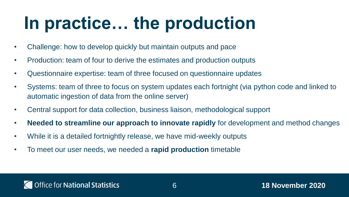### **In practice… the production**

- Challenge: how to develop quickly but maintain outputs and pace
- Production: team of four to derive the estimates and production outputs
- Questionnaire expertise: team of three focused on questionnaire updates
- Systems: team of three to focus on system updates each fortnight (via python code and linked to automatic ingestion of data from the online server)
- Central support for data collection, business liaison, methodological support
- **Needed to streamline our approach to innovate rapidly** for development and method changes
- While it is a detailed fortnightly release, we have mid-weekly outputs
- To meet our user needs, we needed a **rapid production** timetable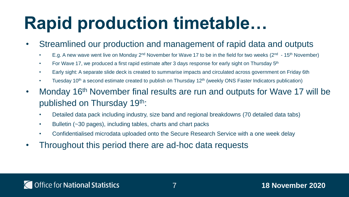#### **Rapid production timetable…**

- Streamlined our production and management of rapid data and outputs
	- E.g. A new wave went live on Monday 2<sup>nd</sup> November for Wave 17 to be in the field for two weeks (2<sup>nd</sup> 15<sup>th</sup> November)
	- For Wave 17, we produced a first rapid estimate after 3 days response for early sight on Thursday  $5<sup>th</sup>$
	- Early sight: A separate slide deck is created to summarise impacts and circulated across government on Friday 6th
	- Tuesday 10<sup>th</sup> a second estimate created to publish on Thursday 12<sup>th</sup> (weekly ONS Faster Indicators publication)
- Monday 16<sup>th</sup> November final results are run and outputs for Wave 17 will be published on Thursday 19th:
	- Detailed data pack including industry, size band and regional breakdowns (70 detailed data tabs)
	- Bulletin (~30 pages), including tables, charts and chart packs
	- Confidentialised microdata uploaded onto the Secure Research Service with a one week delay
- Throughout this period there are ad-hoc data requests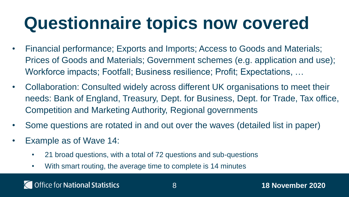### **Questionnaire topics now covered**

- Financial performance; Exports and Imports; Access to Goods and Materials; Prices of Goods and Materials; Government schemes (e.g. application and use); Workforce impacts; Footfall; Business resilience; Profit; Expectations, …
- Collaboration: Consulted widely across different UK organisations to meet their needs: Bank of England, Treasury, Dept. for Business, Dept. for Trade, Tax office, Competition and Marketing Authority, Regional governments
- Some questions are rotated in and out over the waves (detailed list in paper)
- Example as of Wave 14:
	- 21 broad questions, with a total of 72 questions and sub-questions
	- With smart routing, the average time to complete is 14 minutes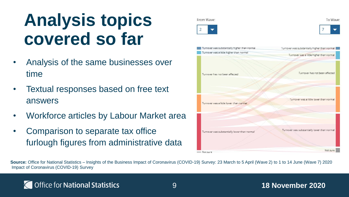### **Analysis topics covered so far**

- Analysis of the same businesses over time
- Textual responses based on free text answers
- Workforce articles by Labour Market area
- Comparison to separate tax office furlough figures from administrative data







Source: Office for National Statistics – Insights of the Business Impact of Coronavirus (COVID-19) Survey: 23 March to 5 April (Wave 2) to 1 to 14 June (Wave 7) 2020 Impact of Coronavirus (COVID-19) Survey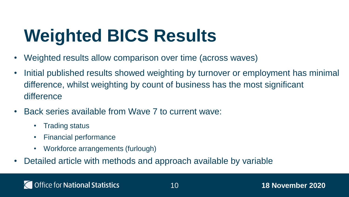# **Weighted BICS Results**

- Weighted results allow comparison over time (across waves)
- Initial published results showed weighting by turnover or employment has minimal difference, whilst weighting by count of business has the most significant difference
- Back series available from Wave 7 to current wave:
	- Trading status
	- Financial performance
	- Workforce arrangements (furlough)
- Detailed article with methods and approach available by variable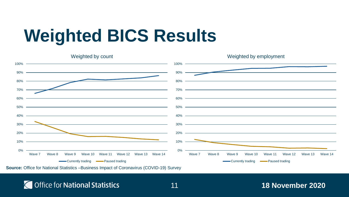# **Weighted BICS Results**



**Source:** Office for National Statistics –Business Impact of Coronavirus (COVID-19) Survey

#### **T** Office for National Statistics

#### 11 **18 November 2020**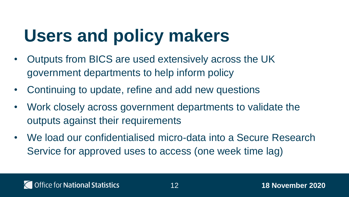# **Users and policy makers**

- Outputs from BICS are used extensively across the UK government departments to help inform policy
- Continuing to update, refine and add new questions
- Work closely across government departments to validate the outputs against their requirements
- We load our confidentialised micro-data into a Secure Research Service for approved uses to access (one week time lag)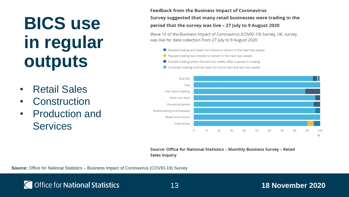### **BICS use in regular outputs**

- Retail Sales
- **Construction**
- Production and **Services**

**Feedback from the Business Impact of Coronavirus** Survey suggested that many retail businesses were trading in the period that the survey was live - 27 July to 9 August 2020

Wave 10 of the Business Impact of Coronavirus (COVID-19) Survey, UK, survey was live for data collection from 27 July to 9 August 2020

- Paused trading and does not intend to restart in the next two weeks
- Paused trading but intends to restart in the next two weeks
- Started trading within the last two weeks after a pause in trading
- Currently trading and has been for more than the last two weeks



Source: Office for National Statistics – Monthly Business Survey – Retail **Sales Inquiry** 

**Source:** Office for National Statistics – Business Impact of Coronavirus (COVID-19) Survey

#### 13 **18 November 2020**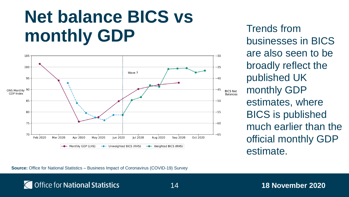#### **Net balance BICS vs monthly GDP**



Trends from businesses in BICS are also seen to be broadly reflect the published UK monthly GDP estimates, where BICS is published much earlier than the official monthly GDP estimate.

**Source:** Office for National Statistics – Business Impact of Coronavirus (COVID-19) Survey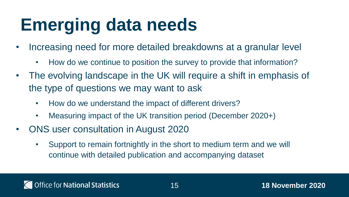# **Emerging data needs**

- Increasing need for more detailed breakdowns at a granular level
	- How do we continue to position the survey to provide that information?
- The evolving landscape in the UK will require a shift in emphasis of the type of questions we may want to ask
	- How do we understand the impact of different drivers?
	- Measuring impact of the UK transition period (December 2020+)
- ONS user consultation in August 2020
	- Support to remain fortnightly in the short to medium term and we will continue with detailed publication and accompanying dataset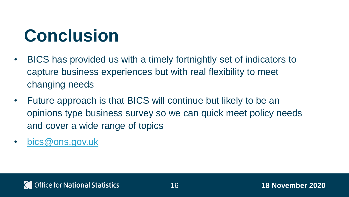# **Conclusion**

- BICS has provided us with a timely fortnightly set of indicators to capture business experiences but with real flexibility to meet changing needs
- Future approach is that BICS will continue but likely to be an opinions type business survey so we can quick meet policy needs and cover a wide range of topics
- [bics@ons.gov.uk](mailto:bics@ons.gov.uk)